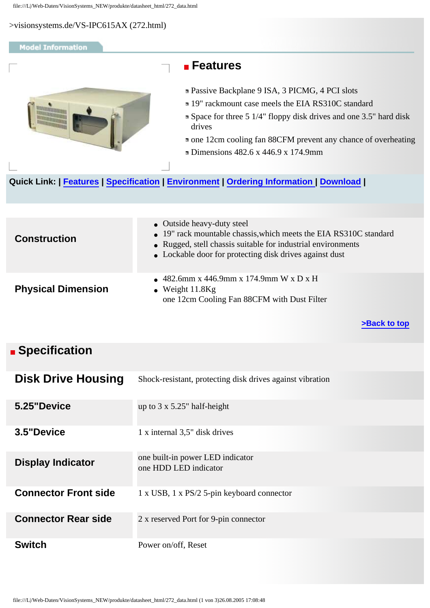#### <span id="page-0-3"></span><span id="page-0-2"></span>**Model Information**

<span id="page-0-0"></span>

### **Features**

- Passive Backplane 9 ISA, 3 PICMG, 4 PCI slots
- 19" rackmount case meels the EIA RS310C standard
- Space for three 5 1/4" floppy disk drives and one 3.5" hard disk drives

one 12cm cooling fan 88CFM prevent any chance of overheating

Dimensions 482.6 x 446.9 x 174.9mm

#### **Quick Link: | [Features](#page-0-0) | [Specification](#page-0-1) | [Environment](#page-1-0) | [Ordering Information](#page-2-0) | [Download](#page-0-2) |**

| <b>Construction</b>       | • Outside heavy-duty steel<br>• 19" rack mountable chassis, which meets the EIA RS310C standard<br>• Rugged, stell chassis suitable for industrial environments<br>• Lockable door for protecting disk drives against dust |
|---------------------------|----------------------------------------------------------------------------------------------------------------------------------------------------------------------------------------------------------------------------|
| <b>Physical Dimension</b> | • 482.6mm x 446.9mm x 174.9mm W x D x H<br>• Weight $11.8$ Kg<br>one 12cm Cooling Fan 88CFM with Dust Filter                                                                                                               |

**[>Back to top](#page-0-3)** 

## <span id="page-0-1"></span> **Specification**

| <b>Disk Drive Housing</b>   | Shock-resistant, protecting disk drives against vibration |
|-----------------------------|-----------------------------------------------------------|
| 5.25"Device                 | up to $3 \times 5.25$ " half-height                       |
| 3.5"Device                  | 1 x internal 3,5" disk drives                             |
| <b>Display Indicator</b>    | one built-in power LED indicator<br>one HDD LED indicator |
| <b>Connector Front side</b> | $1 \times$ USB, $1 \times$ PS/2 5-pin keyboard connector  |
| <b>Connector Rear side</b>  | 2 x reserved Port for 9-pin connector                     |
| <b>Switch</b>               | Power on/off, Reset                                       |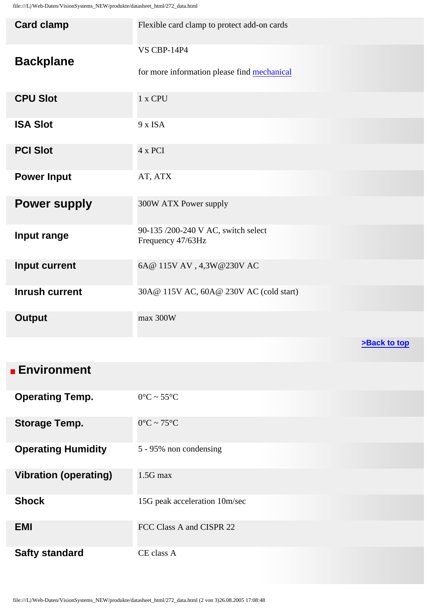| <b>Card clamp</b>     | Flexible card clamp to protect add-on cards                       |
|-----------------------|-------------------------------------------------------------------|
| <b>Backplane</b>      | <b>VS CBP-14P4</b><br>for more information please find mechanical |
| <b>CPU Slot</b>       | 1 x CPU                                                           |
| <b>ISA Slot</b>       | 9 x ISA                                                           |
| <b>PCI Slot</b>       | 4 x PCI                                                           |
| <b>Power Input</b>    | AT, ATX                                                           |
| <b>Power supply</b>   | 300W ATX Power supply                                             |
| Input range           | 90-135 /200-240 V AC, switch select<br>Frequency 47/63Hz          |
| <b>Input current</b>  | 6A@ 115V AV, 4,3W@230V AC                                         |
| <b>Inrush current</b> | 30A@ 115V AC, 60A@ 230V AC (cold start)                           |
| <b>Output</b>         | max 300W                                                          |
|                       | >Back to top                                                      |

<span id="page-1-0"></span>

| <b>Environment</b>           |                                 |
|------------------------------|---------------------------------|
| <b>Operating Temp.</b>       | $0^{\circ}$ C ~ 55 $^{\circ}$ C |
| <b>Storage Temp.</b>         | $0^{\circ}$ C ~ 75 $^{\circ}$ C |
| <b>Operating Humidity</b>    | 5 - 95% non condensing          |
| <b>Vibration (operating)</b> | $1.5G$ max                      |
| <b>Shock</b>                 | 15G peak acceleration 10m/sec   |
| <b>EMI</b>                   | FCC Class A and CISPR 22        |
| <b>Safty standard</b>        | CE class A                      |